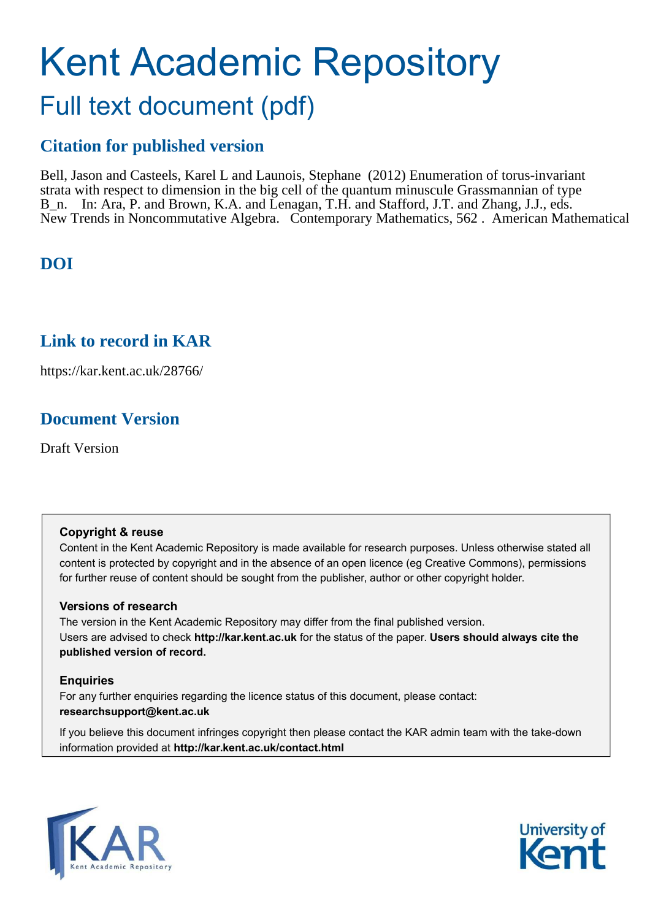# Kent Academic Repository Full text document (pdf)

# **Citation for published version**

Bell, Jason and Casteels, Karel L and Launois, Stephane (2012) Enumeration of torus-invariant strata with respect to dimension in the big cell of the quantum minuscule Grassmannian of type B<sub>n.</sub> In: Ara, P. and Brown, K.A. and Lenagan, T.H. and Stafford, J.T. and Zhang, J.J., eds. New Trends in Noncommutative Algebra. Contemporary Mathematics, 562 . American Mathematical

# **DOI**

# **Link to record in KAR**

https://kar.kent.ac.uk/28766/

# **Document Version**

Draft Version

# **Copyright & reuse**

Content in the Kent Academic Repository is made available for research purposes. Unless otherwise stated all content is protected by copyright and in the absence of an open licence (eg Creative Commons), permissions for further reuse of content should be sought from the publisher, author or other copyright holder.

# **Versions of research**

The version in the Kent Academic Repository may differ from the final published version. Users are advised to check **http://kar.kent.ac.uk** for the status of the paper. **Users should always cite the published version of record.**

# **Enquiries**

For any further enquiries regarding the licence status of this document, please contact: **researchsupport@kent.ac.uk**

If you believe this document infringes copyright then please contact the KAR admin team with the take-down information provided at **http://kar.kent.ac.uk/contact.html**



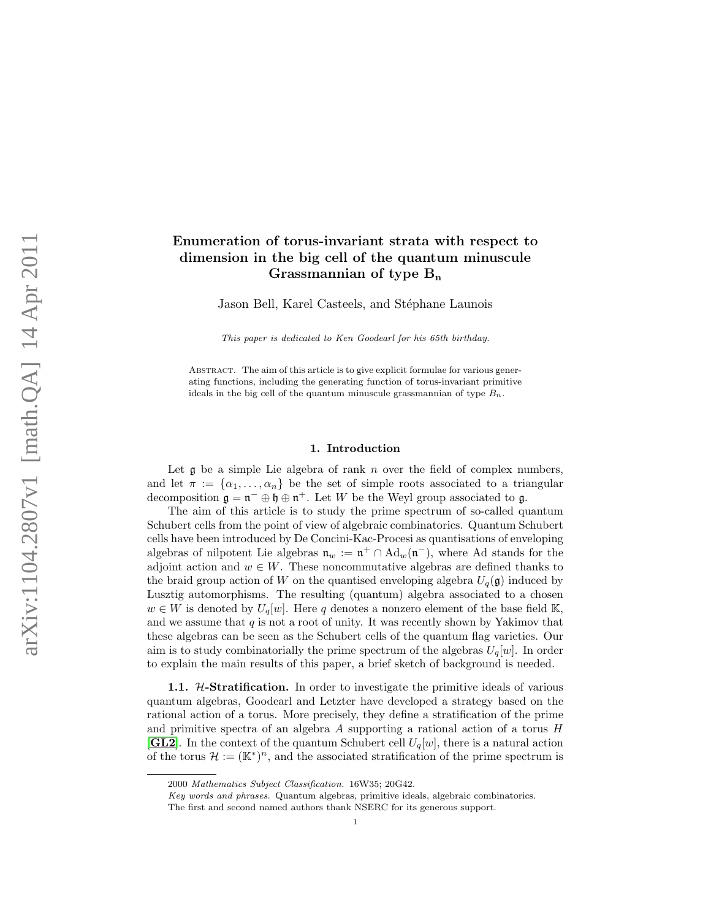## Enumeration of torus-invariant strata with respect to dimension in the big cell of the quantum minuscule Grassmannian of type  $B_n$

Jason Bell, Karel Casteels, and Stéphane Launois

This paper is dedicated to Ken Goodearl for his 65th birthday.

<span id="page-1-0"></span>Abstract. The aim of this article is to give explicit formulae for various generating functions, including the generating function of torus-invariant primitive ideals in the big cell of the quantum minuscule grassmannian of type  $B_n$ .

### 1. Introduction

Let  $\alpha$  be a simple Lie algebra of rank n over the field of complex numbers, and let  $\pi := {\alpha_1, \ldots, \alpha_n}$  be the set of simple roots associated to a triangular decomposition  $\mathfrak{g} = \mathfrak{n}^- \oplus \mathfrak{h} \oplus \mathfrak{n}^+$ . Let W be the Weyl group associated to  $\mathfrak{g}$ .

The aim of this article is to study the prime spectrum of so-called quantum Schubert cells from the point of view of algebraic combinatorics. Quantum Schubert cells have been introduced by De Concini-Kac-Procesi as quantisations of enveloping algebras of nilpotent Lie algebras  $\mathfrak{n}_w := \mathfrak{n}^+ \cap \text{Ad}_w(\mathfrak{n}^-)$ , where Ad stands for the adjoint action and  $w \in W$ . These noncommutative algebras are defined thanks to the braid group action of W on the quantised enveloping algebra  $U_q(\mathfrak{g})$  induced by Lusztig automorphisms. The resulting (quantum) algebra associated to a chosen  $w \in W$  is denoted by  $U_q[w]$ . Here q denotes a nonzero element of the base field K, and we assume that  $q$  is not a root of unity. It was recently shown by Yakimov that these algebras can be seen as the Schubert cells of the quantum flag varieties. Our aim is to study combinatorially the prime spectrum of the algebras  $U_q[w]$ . In order to explain the main results of this paper, a brief sketch of background is needed.

**1.1.** *H*-Stratification. In order to investigate the primitive ideals of various quantum algebras, Goodearl and Letzter have developed a strategy based on the rational action of a torus. More precisely, they define a stratification of the prime and primitive spectra of an algebra  $A$  supporting a rational action of a torus  $H$ [[GL2](#page-12-0)]. In the context of the quantum Schubert cell  $U_q[w]$ , there is a natural action of the torus  $\mathcal{H} := (\mathbb{K}^*)^n$ , and the associated stratification of the prime spectrum is

<sup>2000</sup> Mathematics Subject Classification. 16W35; 20G42.

Key words and phrases. Quantum algebras, primitive ideals, algebraic combinatorics.

The first and second named authors thank NSERC for its generous support.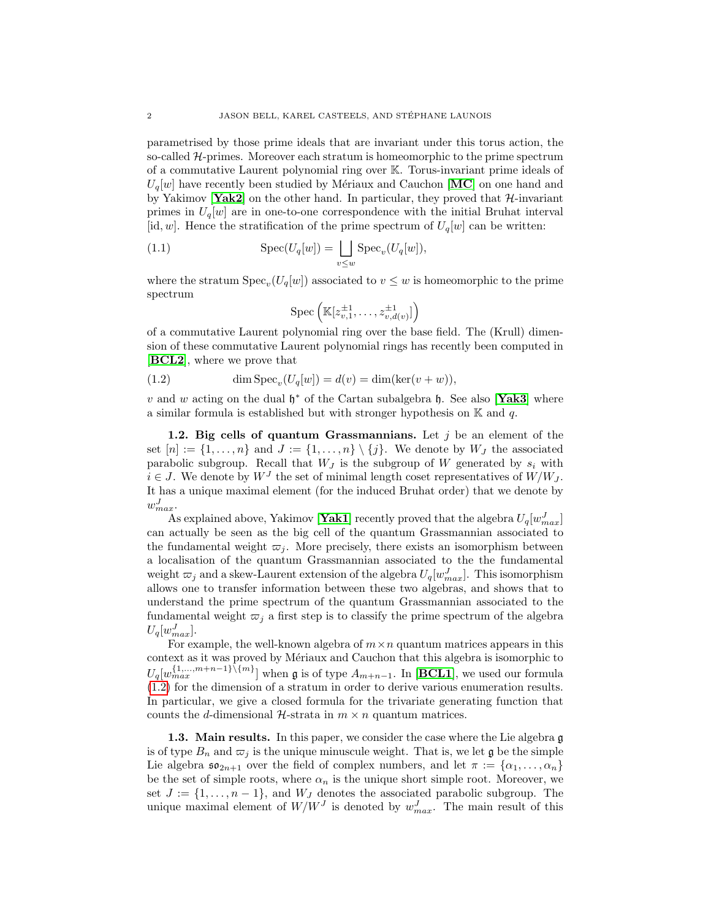<span id="page-2-0"></span>parametrised by those prime ideals that are invariant under this torus action, the so-called  $H$ -primes. Moreover each stratum is homeomorphic to the prime spectrum of a commutative Laurent polynomial ring over K. Torus-invariant prime ideals of  $U_q[w]$  have recently been studied by Mériaux and Cauchon [[MC](#page-13-0)] on one hand and by Yakimov  $Yak2$  on the other hand. In particular, they proved that  $H$ -invariant primes in  $U_q[w]$  are in one-to-one correspondence with the initial Bruhat interval [id, w]. Hence the stratification of the prime spectrum of  $U_q[w]$  can be written:

(1.1) 
$$
\operatorname{Spec}(U_q[w]) = \bigsqcup_{v \leq w} \operatorname{Spec}_v(U_q[w]),
$$

where the stratum  $Spec_v(U_q[w])$  associated to  $v \leq w$  is homeomorphic to the prime spectrum

$$
\mathrm{Spec}\left(\mathbb{K}[z_{v,1}^{\pm 1},\ldots,z_{v,d(v)}^{\pm 1}]\right)
$$

of a commutative Laurent polynomial ring over the base field. The (Krull) dimension of these commutative Laurent polynomial rings has recently been computed in [[BCL2](#page-12-1)], where we prove that

(1.2)  $\dim \text{Spec}_v(U_q[w]) = d(v) = \dim(\ker(v + w)),$ 

v and w acting on the dual  $\mathfrak{h}^*$  of the Cartan subalgebra  $\mathfrak{h}$ . See also [[Yak3](#page-13-2)] where a similar formula is established but with stronger hypothesis on  $\mathbb K$  and q.

1.2. Big cells of quantum Grassmannians. Let  $j$  be an element of the set  $[n] := \{1, \ldots, n\}$  and  $J := \{1, \ldots, n\} \setminus \{j\}$ . We denote by  $W_J$  the associated parabolic subgroup. Recall that  $W_J$  is the subgroup of W generated by  $s_i$  with  $i \in J$ . We denote by  $W<sup>J</sup>$  the set of minimal length coset representatives of  $W/W_J$ . It has a unique maximal element (for the induced Bruhat order) that we denote by  $w_{max}^J$ .

As explained above, Yakimov [[Yak1](#page-13-3)] recently proved that the algebra  $U_q[w_{max}^J]$ can actually be seen as the big cell of the quantum Grassmannian associated to the fundamental weight  $\varpi_i$ . More precisely, there exists an isomorphism between a localisation of the quantum Grassmannian associated to the the fundamental weight  $\varpi_j$  and a skew-Laurent extension of the algebra  $U_q[w_{max}^J]$ . This isomorphism allows one to transfer information between these two algebras, and shows that to understand the prime spectrum of the quantum Grassmannian associated to the fundamental weight  $\varpi_i$  a first step is to classify the prime spectrum of the algebra  $U_q[w_{max}^J]$ .

For example, the well-known algebra of  $m \times n$  quantum matrices appears in this context as it was proved by Mériaux and Cauchon that this algebra is isomorphic to  $U_q[w_{max}^{\{1,\ldots,m+n-1\}\setminus\{m\}}]$  when g is of type  $A_{m+n-1}$ . In [[BCL1](#page-12-2)], we used our formula [\(1.2\)](#page-1-0) for the dimension of a stratum in order to derive various enumeration results. In particular, we give a closed formula for the trivariate generating function that counts the d-dimensional  $H$ -strata in  $m \times n$  quantum matrices.

1.3. Main results. In this paper, we consider the case where the Lie algebra g is of type  $B_n$  and  $\overline{\omega}_j$  is the unique minuscule weight. That is, we let  $\mathfrak g$  be the simple Lie algebra  $\mathfrak{so}_{2n+1}$  over the field of complex numbers, and let  $\pi := {\alpha_1, \ldots, \alpha_n}$ be the set of simple roots, where  $\alpha_n$  is the unique short simple root. Moreover, we set  $J := \{1, \ldots, n-1\}$ , and  $W_J$  denotes the associated parabolic subgroup. The unique maximal element of  $W/W^J$  is denoted by  $w_{max}^J$ . The main result of this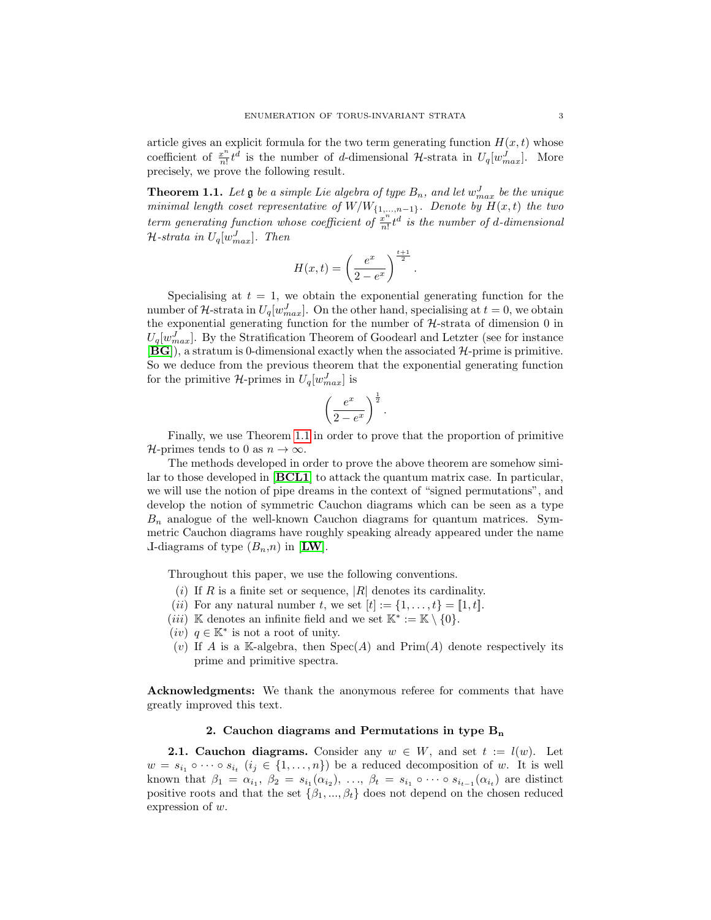article gives an explicit formula for the two term generating function  $H(x, t)$  whose coefficient of  $\frac{x^n}{n!}$  $\frac{x^n}{n!}t^d$  is the number of d-dimensional H-strata in  $U_q[w_{max}^J]$ . More precisely, we prove the following result.

**Theorem 1.1.** Let  $\mathfrak g$  be a simple Lie algebra of type  $B_n$ , and let  $w_{max}^J$  be the unique minimal length coset representative of  $W/W_{\{1,\ldots,n-1\}}$ . Denote by  $H(x,t)$  the two term generating function whose coefficient of  $\frac{x^n}{n!}$  $\frac{x^n}{n!}t^d$  is the number of d-dimensional  $\mathcal{H}$ -strata in  $U_q[w^J_{max}]$ . Then

$$
H(x,t) = \left(\frac{e^x}{2 - e^x}\right)^{\frac{t+1}{2}}.
$$

Specialising at  $t = 1$ , we obtain the exponential generating function for the number of H-strata in  $U_q[w_{max}^J]$ . On the other hand, specialising at  $t = 0$ , we obtain the exponential generating function for the number of  $H$ -strata of dimension 0 in  $U_q[w_{max}^J]$ . By the Stratification Theorem of Goodearl and Letzter (see for instance  $[\mathbf{B}\mathbf{G}]$ , a stratum is 0-dimensional exactly when the associated  $\mathcal{H}\text{-prime}$  is primitive. So we deduce from the previous theorem that the exponential generating function for the primitive  $\mathcal{H}$ -primes in  $U_q[w^J_{max}]$  is

$$
\left(\frac{e^x}{2-e^x}\right)^{\frac{1}{2}}.
$$

Finally, we use Theorem [1.1](#page-2-0) in order to prove that the proportion of primitive  $\mathcal{H}\text{-primes tends to 0 as }n\to\infty.$ 

The methods developed in order to prove the above theorem are somehow similar to those developed in [[BCL1](#page-12-2)] to attack the quantum matrix case. In particular, we will use the notion of pipe dreams in the context of "signed permutations", and develop the notion of symmetric Cauchon diagrams which can be seen as a type  $B_n$  analogue of the well-known Cauchon diagrams for quantum matrices. Symmetric Cauchon diagrams have roughly speaking already appeared under the name L-diagrams of type  $(B_n, n)$  in [[LW](#page-13-4)].

<span id="page-3-0"></span>Throughout this paper, we use the following conventions.

- (i) If R is a finite set or sequence,  $|R|$  denotes its cardinality.
- (*ii*) For any natural number t, we set  $[t] := \{1, \ldots, t\} = [1, t].$
- (*iii*) K denotes an infinite field and we set  $\mathbb{K}^* := \mathbb{K} \setminus \{0\}.$
- (*iv*)  $q \in \mathbb{K}^*$  is not a root of unity.
- (v) If A is a K-algebra, then  $Spec(A)$  and  $Prim(A)$  denote respectively its prime and primitive spectra.

Acknowledgments: We thank the anonymous referee for comments that have greatly improved this text.

## 2. Cauchon diagrams and Permutations in type  $B_n$

**2.1. Cauchon diagrams.** Consider any  $w \in W$ , and set  $t := l(w)$ . Let  $w = s_{i_1} \circ \cdots \circ s_{i_t}$   $(i_j \in \{1, ..., n\})$  be a reduced decomposition of w. It is well known that  $\beta_1 = \alpha_{i_1}, \beta_2 = s_{i_1}(\alpha_{i_2}), \ldots, \beta_t = s_{i_1} \circ \cdots \circ s_{i_{t-1}}(\alpha_{i_t})$  are distinct positive roots and that the set  $\{\beta_1, ..., \beta_t\}$  does not depend on the chosen reduced expression of w.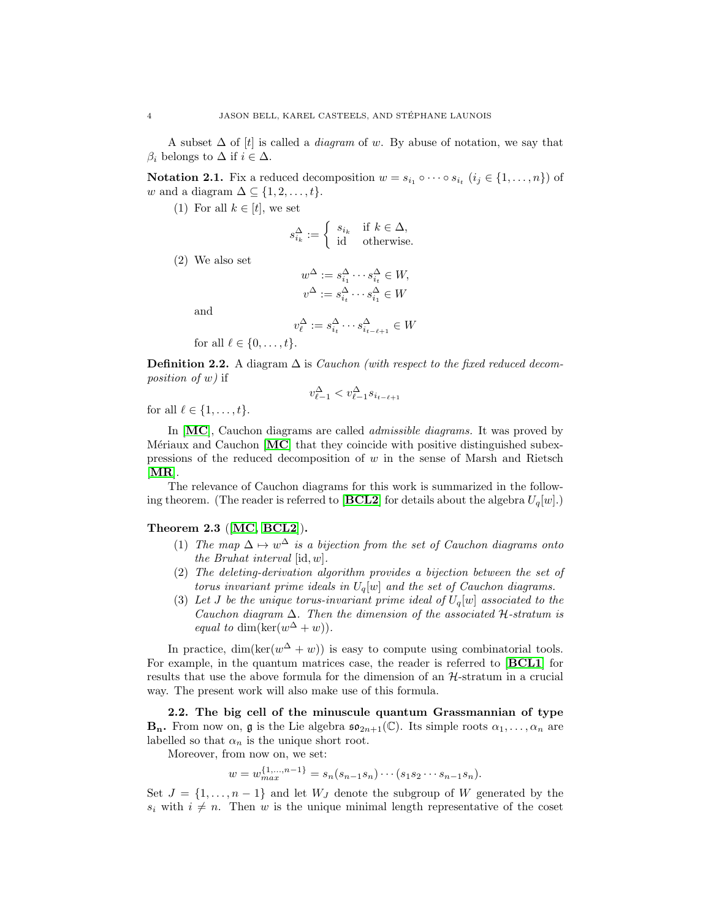A subset  $\Delta$  of [t] is called a *diagram* of w. By abuse of notation, we say that  $\beta_i$  belongs to  $\Delta$  if  $i \in \Delta$ .

**Notation 2.1.** Fix a reduced decomposition  $w = s_{i_1} \circ \cdots \circ s_{i_t}$   $(i_j \in \{1, ..., n\})$  of w and a diagram  $\Delta \subseteq \{1, 2, \ldots, t\}.$ 

(1) For all  $k \in [t]$ , we set

$$
s_{i_k}^{\Delta} := \begin{cases} s_{i_k} & \text{if } k \in \Delta, \\ \text{id} & \text{otherwise.} \end{cases}
$$

(2) We also set

$$
w^{\Delta} := s_{i_1}^{\Delta} \cdots s_{i_t}^{\Delta} \in W,
$$
  

$$
v^{\Delta} := s_{i_t}^{\Delta} \cdots s_{i_1}^{\Delta} \in W
$$

and

$$
v_\ell^\Delta := s_{i_t}^\Delta \cdots s_{i_{t-\ell+1}}^\Delta \in W
$$

for all  $\ell \in \{0, \ldots, t\}.$ 

**Definition 2.2.** A diagram  $\Delta$  is *Cauchon (with respect to the fixed reduced decom*position of w) if

$$
v_{\ell-1}^{\Delta} < v_{\ell-1}^{\Delta} s_{i_{t-\ell+1}}
$$

for all  $\ell \in \{1, \ldots, t\}.$ 

In [[MC](#page-13-0)], Cauchon diagrams are called *admissible diagrams*. It was proved by M $\acute{e}$ riaux and Cauchon  $\bf{[MC]}$  $\bf{[MC]}$  $\bf{[MC]}$  that they coincide with positive distinguished subexpressions of the reduced decomposition of  $w$  in the sense of Marsh and Rietsch  $[MR]$  $[MR]$  $[MR]$ .

The relevance of Cauchon diagrams for this work is summarized in the following theorem. (The reader is referred to  $[\mathbf{BCL2}]$  $[\mathbf{BCL2}]$  $[\mathbf{BCL2}]$  for details about the algebra  $U_q[w]$ .)

#### Theorem 2.3 ([[MC,](#page-13-0) [BCL2](#page-12-1)]).

- (1) The map  $\Delta \mapsto w^{\Delta}$  is a bijection from the set of Cauchon diagrams onto the Bruhat interval [id, w].
- (2) The deleting-derivation algorithm provides a bijection between the set of torus invariant prime ideals in  $U_q[w]$  and the set of Cauchon diagrams.
- (3) Let J be the unique torus-invariant prime ideal of  $U_q[w]$  associated to the Cauchon diagram  $\Delta$ . Then the dimension of the associated H-stratum is equal to dim(ker( $w^{\Delta} + w$ )).

In practice,  $\dim(\ker(w^{\Delta} + w))$  is easy to compute using combinatorial tools. For example, in the quantum matrices case, the reader is referred to [[BCL1](#page-12-2)] for results that use the above formula for the dimension of an H-stratum in a crucial way. The present work will also make use of this formula.

2.2. The big cell of the minuscule quantum Grassmannian of type **B<sub>n</sub>**. From now on, **g** is the Lie algebra  $\mathfrak{so}_{2n+1}(\mathbb{C})$ . Its simple roots  $\alpha_1, \ldots, \alpha_n$  are labelled so that  $\alpha_n$  is the unique short root.

Moreover, from now on, we set:

$$
w = w_{max}^{\{1,\dots,n-1\}} = s_n(s_{n-1}s_n)\cdots(s_1s_2\cdots s_{n-1}s_n).
$$

Set  $J = \{1, \ldots, n-1\}$  and let  $W_J$  denote the subgroup of W generated by the  $s_i$  with  $i \neq n$ . Then w is the unique minimal length representative of the coset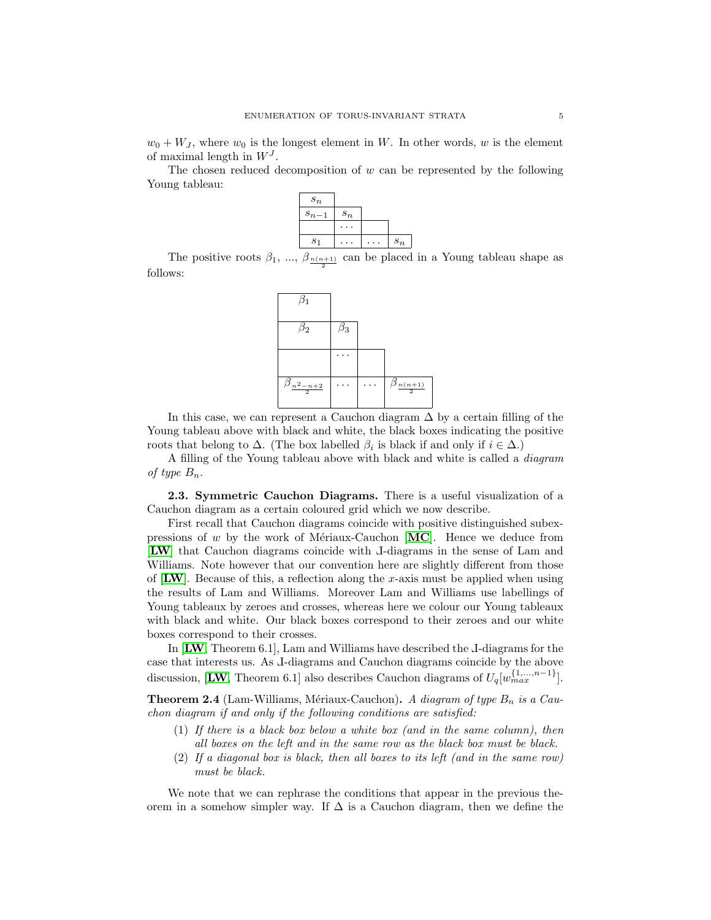$w_0 + W_J$ , where  $w_0$  is the longest element in W. In other words, w is the element of maximal length in  $W<sup>J</sup>$ .

The chosen reduced decomposition of  $w$  can be represented by the following Young tableau:



The positive roots  $\beta_1, \dots, \beta_{\frac{n(n+1)}{2}}$  can be placed in a Young tableau shape as follows:



In this case, we can represent a Cauchon diagram  $\Delta$  by a certain filling of the Young tableau above with black and white, the black boxes indicating the positive roots that belong to  $\Delta$ . (The box labelled  $\beta_i$  is black if and only if  $i \in \Delta$ .)

A filling of the Young tableau above with black and white is called a diagram of type  $B_n$ .

2.3. Symmetric Cauchon Diagrams. There is a useful visualization of a Cauchon diagram as a certain coloured grid which we now describe.

First recall that Cauchon diagrams coincide with positive distinguished subexpressions of w by the work of Mériaux-Cauchon  $[MC]$  $[MC]$  $[MC]$ . Hence we deduce from [[LW](#page-13-4)] that Cauchon diagrams coincide with <sup>L</sup>-diagrams in the sense of Lam and Williams. Note however that our convention here are slightly different from those of  $\text{LW}$  $\text{LW}$  $\text{LW}$ . Because of this, a reflection along the x-axis must be applied when using the results of Lam and Williams. Moreover Lam and Williams use labellings of Young tableaux by zeroes and crosses, whereas here we colour our Young tableaux with black and white. Our black boxes correspond to their zeroes and our white boxes correspond to their crosses.

<span id="page-5-0"></span>In **, Theorem 6.1, Lam and Williams have described the J-diagrams for the** case that interests us. As <sup>L</sup>-diagrams and Cauchon diagrams coincide by the above discussion, [[LW](#page-13-4), Theorem 6.1] also describes Cauchon diagrams of  $U_q[w_{max}^{(1,...,n-1)}]$ .

**Theorem 2.4** (Lam-Williams, Mériaux-Cauchon). A diagram of type  $B_n$  is a Cauchon diagram if and only if the following conditions are satisfied:

- (1) If there is a black box below a white box (and in the same column), then all boxes on the left and in the same row as the black box must be black.
- (2) If a diagonal box is black, then all boxes to its left (and in the same row) must be black.

We note that we can rephrase the conditions that appear in the previous theorem in a somehow simpler way. If  $\Delta$  is a Cauchon diagram, then we define the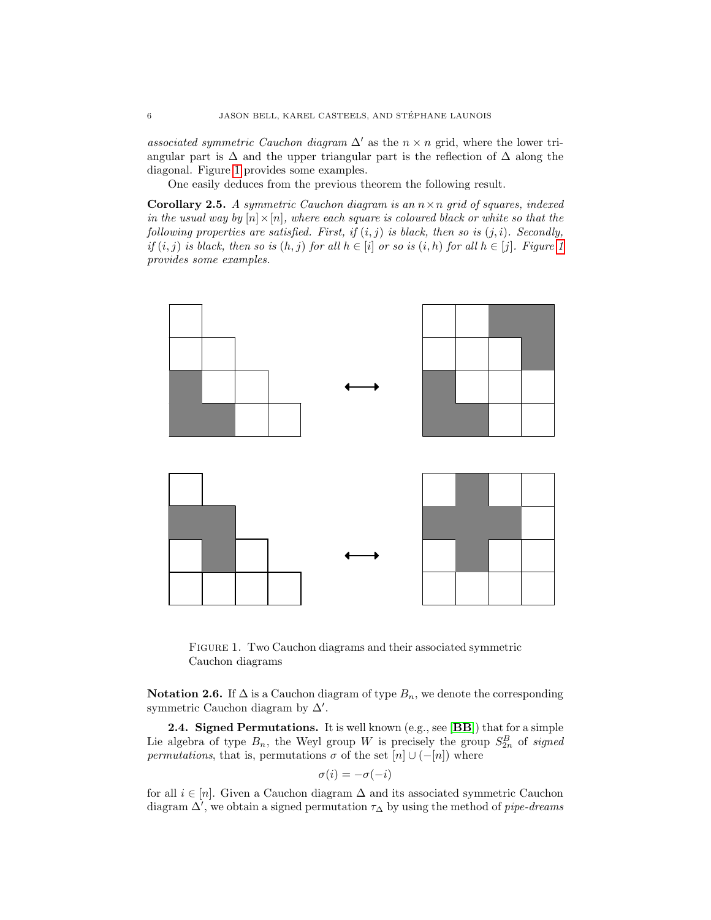associated symmetric Cauchon diagram  $\Delta'$  as the  $n \times n$  grid, where the lower triangular part is  $\Delta$  and the upper triangular part is the reflection of  $\Delta$  along the diagonal. Figure [1](#page-5-0) provides some examples.

One easily deduces from the previous theorem the following result.

**Corollary 2.5.** A symmetric Cauchon diagram is an  $n \times n$  grid of squares, indexed in the usual way by  $[n] \times [n]$ , where each square is coloured black or white so that the following properties are satisfied. First, if  $(i, j)$  is black, then so is  $(j, i)$ . Secondly, if  $(i, j)$  is black, then so is  $(h, j)$  for all  $h \in [i]$  or so is  $(i, h)$  for all  $h \in [j]$ . Figure [1](#page-5-0) provides some examples.

<span id="page-6-0"></span>

<span id="page-6-2"></span><span id="page-6-1"></span>FIGURE 1. Two Cauchon diagrams and their associated symmetric Cauchon diagrams

**Notation 2.6.** If  $\Delta$  is a Cauchon diagram of type  $B_n$ , we denote the corresponding symmetric Cauchon diagram by  $\Delta'$ .

2.4. Signed Permutations. It is well known (e.g., see [[BB](#page-12-4)]) that for a simple Lie algebra of type  $B_n$ , the Weyl group W is precisely the group  $S_{2n}^B$  of signed permutations, that is, permutations  $\sigma$  of the set  $[n] \cup (-[n])$  where

$$
\sigma(i) = -\sigma(-i)
$$

<span id="page-6-3"></span>for all  $i \in [n]$ . Given a Cauchon diagram  $\Delta$  and its associated symmetric Cauchon diagram  $\Delta'$ , we obtain a signed permutation  $\tau_{\Delta}$  by using the method of pipe-dreams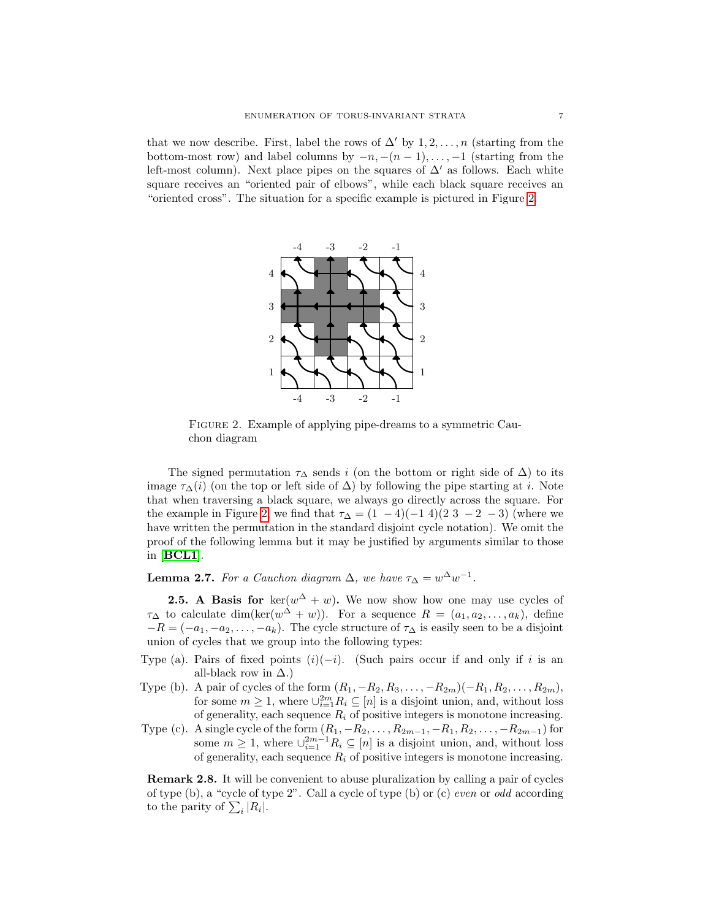<span id="page-7-2"></span>that we now describe. First, label the rows of  $\Delta'$  by 1,2,..., n (starting from the bottom-most row) and label columns by  $-n, -(n-1), \ldots, -1$  (starting from the left-most column). Next place pipes on the squares of  $\Delta'$  as follows. Each white square receives an "oriented pair of elbows", while each black square receives an "oriented cross". The situation for a specific example is pictured in Figure [2.](#page-6-0)



<span id="page-7-0"></span>FIGURE 2. Example of applying pipe-dreams to a symmetric Cauchon diagram

The signed permutation  $\tau_{\Delta}$  sends i (on the bottom or right side of  $\Delta$ ) to its image  $\tau_{\Delta}(i)$  (on the top or left side of  $\Delta$ ) by following the pipe starting at *i*. Note that when traversing a black square, we always go directly across the square. For the example in Figure [2,](#page-6-0) we find that  $\tau_{\Delta} = (1 - 4)(-1)$  4 $(2 \ 3 \ -2 \ -3)$  (where we have written the permutation in the standard disjoint cycle notation). We omit the proof of the following lemma but it may be justified by arguments similar to those in [[BCL1](#page-12-2)].

**Lemma 2.7.** For a Cauchon diagram  $\Delta$ , we have  $\tau_{\Delta} = w^{\Delta}w^{-1}$ .

<span id="page-7-1"></span>**2.5.** A Basis for  $\ker(w^{\Delta} + w)$ . We now show how one may use cycles of  $\tau_{\Delta}$  to calculate dim(ker( $w^{\Delta} + w$ )). For a sequence  $R = (a_1, a_2, \ldots, a_k)$ , define  $-R = (-a_1, -a_2, \ldots, -a_k)$ . The cycle structure of  $\tau_{\Delta}$  is easily seen to be a disjoint union of cycles that we group into the following types:

- Type (a). Pairs of fixed points  $(i)(-i)$ . (Such pairs occur if and only if i is an all-black row in  $\Delta$ .)
- Type (b). A pair of cycles of the form  $(R_1, -R_2, R_3, \ldots, -R_{2m})(-R_1, R_2, \ldots, R_{2m}),$ for some  $m \geq 1$ , where  $\cup_{i=1}^{2m} R_i \subseteq [n]$  is a disjoint union, and, without loss of generality, each sequence  $R_i$  of positive integers is monotone increasing.
- Type (c). A single cycle of the form  $(R_1, -R_2, \ldots, R_{2m-1}, -R_1, R_2, \ldots, -R_{2m-1})$  for some  $m \geq 1$ , where  $\cup_{i=1}^{2m-1} R_i \subseteq [n]$  is a disjoint union, and, without loss of generality, each sequence  $R_i$  of positive integers is monotone increasing.

Remark 2.8. It will be convenient to abuse pluralization by calling a pair of cycles of type  $(b)$ , a "cycle of type  $2$ ". Call a cycle of type  $(b)$  or  $(c)$  *even* or *odd* according to the parity of  $\sum_i |R_i|$ .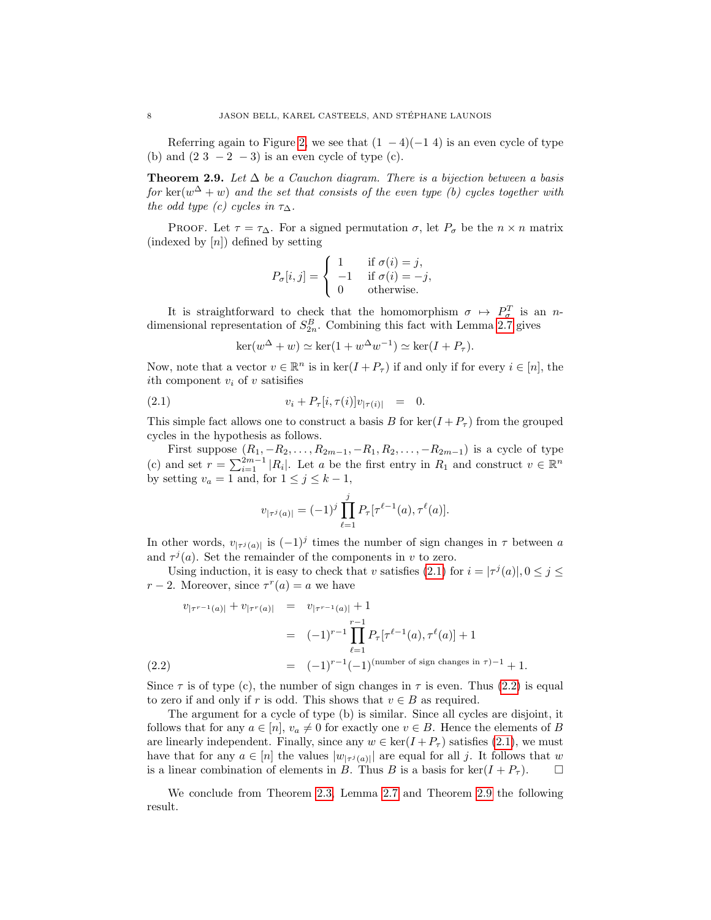Referring again to Figure [2,](#page-6-0) we see that  $(1 - 4)(-1)$  is an even cycle of type (b) and  $(2\ 3\ -2\ -3)$  is an even cycle of type (c).

Theorem 2.9. Let  $\Delta$  be a Cauchon diagram. There is a bijection between a basis for  $\ker(w^{\Delta} + w)$  and the set that consists of the even type (b) cycles together with the odd type (c) cycles in  $\tau_{\Delta}$ .

<span id="page-8-0"></span>PROOF. Let  $\tau = \tau_{\Delta}$ . For a signed permutation  $\sigma$ , let  $P_{\sigma}$  be the  $n \times n$  matrix (indexed by  $[n]$ ) defined by setting

<span id="page-8-1"></span>
$$
P_{\sigma}[i,j] = \begin{cases} 1 & \text{if } \sigma(i) = j, \\ -1 & \text{if } \sigma(i) = -j, \\ 0 & \text{otherwise.} \end{cases}
$$

It is straightforward to check that the homomorphism  $\sigma \mapsto P_{\sigma}^{T}$  is an ndimensional representation of  $S_{2n}^B$ . Combining this fact with Lemma [2.7](#page-6-1) gives

$$
\ker(w^{\Delta} + w) \simeq \ker(1 + w^{\Delta}w^{-1}) \simeq \ker(I + P_{\tau}).
$$

Now, note that a vector  $v \in \mathbb{R}^n$  is in  $\ker(I + P_{\tau})$  if and only if for every  $i \in [n]$ , the ith component  $v_i$  of v satisfies

(2.1) 
$$
v_i + P_{\tau}[i, \tau(i)]v_{|\tau(i)|} = 0.
$$

This simple fact allows one to construct a basis B for  $\ker(I + P_\tau)$  from the grouped cycles in the hypothesis as follows.

First suppose  $(R_1, -R_2, \ldots, R_{2m-1}, -R_1, R_2, \ldots, -R_{2m-1})$  is a cycle of type (c) and set  $r = \sum_{i=1}^{2m-1} |R_i|$ . Let a be the first entry in  $R_1$  and construct  $v \in \mathbb{R}^n$ by setting  $v_a = 1$  and, for  $1 \le j \le k - 1$ ,

$$
v_{|\tau^{j}(a)|} = (-1)^{j} \prod_{\ell=1}^{j} P_{\tau}[\tau^{\ell-1}(a), \tau^{\ell}(a)].
$$

In other words,  $v_{\vert \tau^j(a) \vert}$  is  $(-1)^j$  times the number of sign changes in  $\tau$  between a and  $\tau^{j}(a)$ . Set the remainder of the components in v to zero.

Using induction, it is easy to check that v satisfies [\(2.1\)](#page-7-0) for  $i = |\tau^j(a)|, 0 \le j \le k$  $r-2$ . Moreover, since  $\tau^r(a) = a$  we have

$$
v_{|\tau^{r-1}(a)|} + v_{|\tau^{r}(a)|} = v_{|\tau^{r-1}(a)|} + 1
$$
  
=  $(-1)^{r-1} \prod_{\ell=1}^{r-1} P_{\tau}[\tau^{\ell-1}(a), \tau^{\ell}(a)] + 1$   
=  $(-1)^{r-1} (-1)^{(\text{number of sign changes in }\tau)-1} + 1.$ 

Since  $\tau$  is of type (c), the number of sign changes in  $\tau$  is even. Thus [\(2.2\)](#page-7-1) is equal to zero if and only if r is odd. This shows that  $v \in B$  as required.

The argument for a cycle of type (b) is similar. Since all cycles are disjoint, it follows that for any  $a \in [n]$ ,  $v_a \neq 0$  for exactly one  $v \in B$ . Hence the elements of B are linearly independent. Finally, since any  $w \in \text{ker}(I + P_\tau)$  satisfies [\(2.1\)](#page-7-0), we must have that for any  $a \in [n]$  the values  $|w_{|\tau^j(a)}|$  are equal for all j. It follows that w is a linear combination of elements in B. Thus B is a basis for  $\ker(I + P_\tau)$ .

We conclude from Theorem [2.3,](#page-3-0) Lemma [2.7](#page-6-1) and Theorem [2.9](#page-7-2) the following result.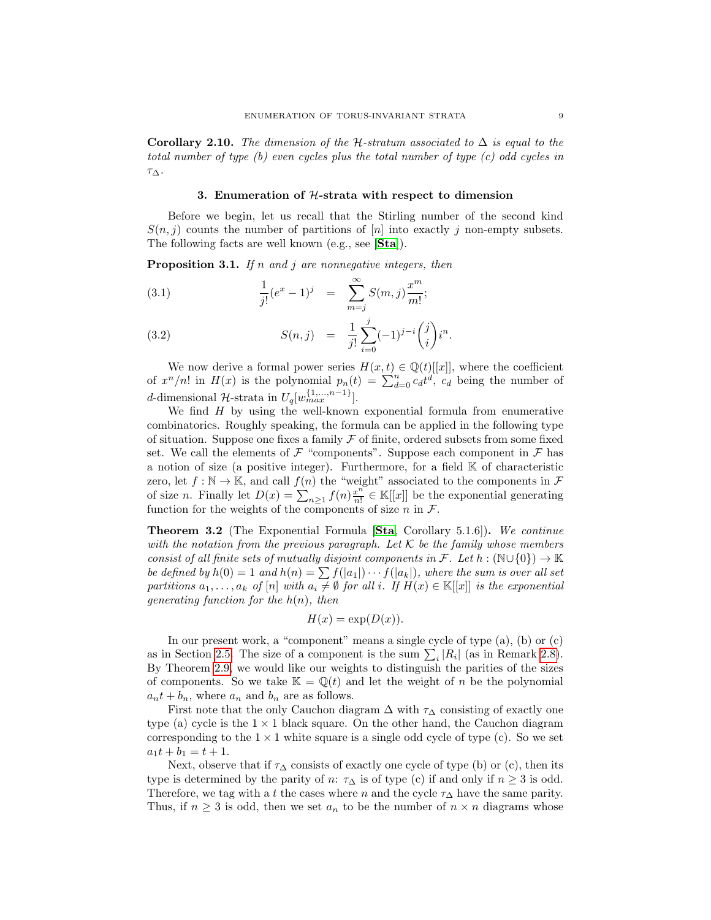Corollary 2.10. The dimension of the H-stratum associated to  $\Delta$  is equal to the total number of type (b) even cycles plus the total number of type (c) odd cycles in  $\tau_\Delta.$ 

#### 3. Enumeration of  $H$ -strata with respect to dimension

Before we begin, let us recall that the Stirling number of the second kind  $S(n, j)$  counts the number of partitions of  $[n]$  into exactly j non-empty subsets. The following facts are well known (e.g., see [[Sta](#page-13-6)]).

**Proposition 3.1.** If n and j are nonnegative integers, then

(3.1) 
$$
\frac{1}{j!}(e^x - 1)^j = \sum_{m=j}^{\infty} S(m, j) \frac{x^m}{m!};
$$

(3.2) 
$$
S(n,j) = \frac{1}{j!} \sum_{i=0}^{j} (-1)^{j-i} {j \choose i} i^{n}.
$$

We now derive a formal power series  $H(x, t) \in \mathbb{Q}(t)[[x]]$ , where the coefficient of  $x^n/n!$  in  $H(x)$  is the polynomial  $p_n(t) = \sum_{d=0}^n c_d t^d$ ,  $c_d$  being the number of d-dimensional  $\mathcal{H}$ -strata in  $U_q[w_{max}^{\{1,\ldots,n-1\}}]$ .

We find  $H$  by using the well-known exponential formula from enumerative combinatorics. Roughly speaking, the formula can be applied in the following type of situation. Suppose one fixes a family  $\mathcal F$  of finite, ordered subsets from some fixed set. We call the elements of  $\mathcal F$  "components". Suppose each component in  $\mathcal F$  has a notion of size (a positive integer). Furthermore, for a field  $K$  of characteristic zero, let  $f : \mathbb{N} \to \mathbb{K}$ , and call  $f(n)$  the "weight" associated to the components in  $\mathcal F$ of size *n*. Finally let  $D(x) = \sum_{n=1}^{\infty} f(n) \frac{x^n}{n!}$  $\frac{x^n}{n!} \in \mathbb{K}[[x]]$  be the exponential generating function for the weights of the components of size n in  $\mathcal{F}$ .

Theorem 3.2 (The Exponential Formula [[Sta](#page-13-6), Corollary 5.1.6]). We continue with the notation from the previous paragraph. Let  $K$  be the family whose members consist of all finite sets of mutually disjoint components in F. Let  $h : (\mathbb{N} \cup \{0\}) \to \mathbb{K}$ be defined by  $h(0) = 1$  and  $h(n) = \sum f(|a_1|) \cdots f(|a_k|)$ , where the sum is over all set partitions  $a_1, \ldots, a_k$  of  $[n]$  with  $a_i \neq \emptyset$  for all i. If  $H(x) \in \mathbb{K}[[x]]$  is the exponential generating function for the  $h(n)$ , then

<span id="page-9-0"></span>
$$
H(x) = \exp(D(x)).
$$

<span id="page-9-1"></span>In our present work, a "component" means a single cycle of type (a), (b) or (c) as in Section [2.5.](#page-6-2) The size of a component is the sum  $\sum_i |R_i|$  (as in Remark [2.8\)](#page-6-3). By Theorem [2.9,](#page-7-2) we would like our weights to distinguish the parities of the sizes of components. So we take  $\mathbb{K} = \mathbb{Q}(t)$  and let the weight of n be the polynomial  $a_n t + b_n$ , where  $a_n$  and  $b_n$  are as follows.

First note that the only Cauchon diagram  $\Delta$  with  $\tau_{\Delta}$  consisting of exactly one type (a) cycle is the  $1 \times 1$  black square. On the other hand, the Cauchon diagram corresponding to the  $1 \times 1$  white square is a single odd cycle of type (c). So we set  $a_1t + b_1 = t + 1.$ 

Next, observe that if  $\tau_{\Delta}$  consists of exactly one cycle of type (b) or (c), then its type is determined by the parity of n:  $\tau_{\Delta}$  is of type (c) if and only if  $n \geq 3$  is odd. Therefore, we tag with a t the cases where n and the cycle  $\tau_{\Delta}$  have the same parity. Thus, if  $n \geq 3$  is odd, then we set  $a_n$  to be the number of  $n \times n$  diagrams whose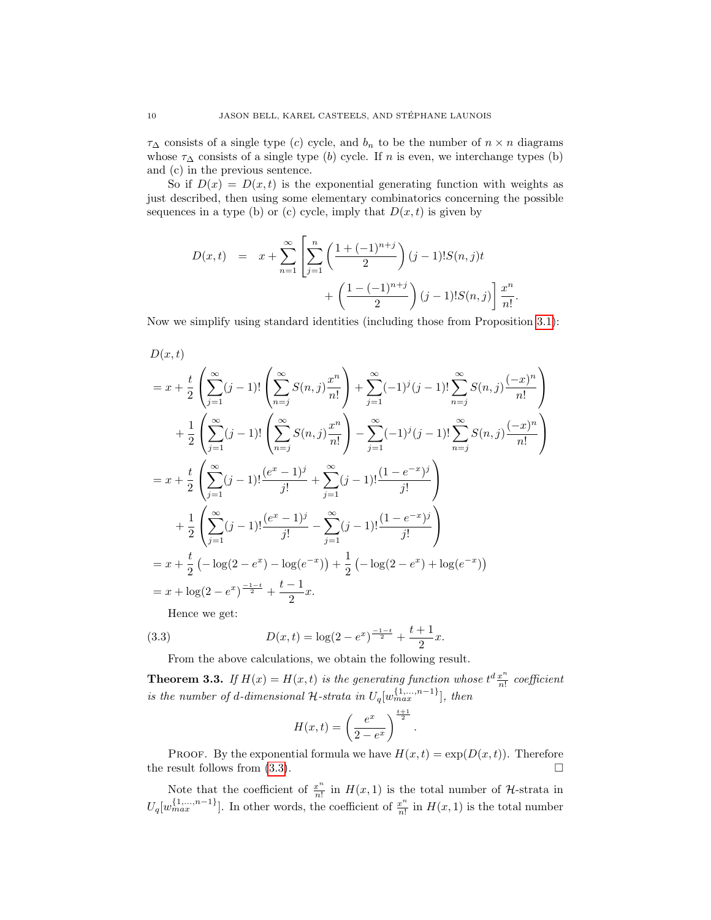$\tau_{\Delta}$  consists of a single type (c) cycle, and  $b_n$  to be the number of  $n \times n$  diagrams whose  $\tau_{\Delta}$  consists of a single type (b) cycle. If n is even, we interchange types (b) and (c) in the previous sentence.

So if  $D(x) = D(x,t)$  is the exponential generating function with weights as just described, then using some elementary combinatorics concerning the possible sequences in a type (b) or (c) cycle, imply that  $D(x, t)$  is given by

<span id="page-10-1"></span>
$$
D(x,t) = x + \sum_{n=1}^{\infty} \left[ \sum_{j=1}^{n} \left( \frac{1 + (-1)^{n+j}}{2} \right) (j-1)! S(n,j) t + \left( \frac{1 - (-1)^{n+j}}{2} \right) (j-1)! S(n,j) \right] \frac{x^n}{n!}.
$$

Now we simplify using standard identities (including those from Proposition [3.1\)](#page-8-0):

<span id="page-10-0"></span>
$$
D(x,t)
$$
  
=  $x + \frac{t}{2} \left( \sum_{j=1}^{\infty} (j-1)! \left( \sum_{n=j}^{\infty} S(n,j) \frac{x^n}{n!} \right) + \sum_{j=1}^{\infty} (-1)^j (j-1)! \sum_{n=j}^{\infty} S(n,j) \frac{(-x)^n}{n!} \right)$   
+  $\frac{1}{2} \left( \sum_{j=1}^{\infty} (j-1)! \left( \sum_{n=j}^{\infty} S(n,j) \frac{x^n}{n!} \right) - \sum_{j=1}^{\infty} (-1)^j (j-1)! \sum_{n=j}^{\infty} S(n,j) \frac{(-x)^n}{n!} \right)$   
=  $x + \frac{t}{2} \left( \sum_{j=1}^{\infty} (j-1)! \frac{(e^x - 1)^j}{j!} + \sum_{j=1}^{\infty} (j-1)! \frac{(1 - e^{-x})^j}{j!} \right)$   
+  $\frac{1}{2} \left( \sum_{j=1}^{\infty} (j-1)! \frac{(e^x - 1)^j}{j!} - \sum_{j=1}^{\infty} (j-1)! \frac{(1 - e^{-x})^j}{j!} \right)$   
=  $x + \frac{t}{2} \left( -\log(2 - e^x) - \log(e^{-x}) \right) + \frac{1}{2} \left( -\log(2 - e^x) + \log(e^{-x}) \right)$   
=  $x + \log(2 - e^x) \frac{-1 - t}{2} + \frac{t - 1}{2}x$ .  
Hence we get:

(3.3) 
$$
D(x,t) = \log(2 - e^x)^{\frac{-1-t}{2}} + \frac{t+1}{2}x.
$$

From the above calculations, we obtain the following result.

**Theorem 3.3.** If  $H(x) = H(x,t)$  is the generating function whose  $t^d \frac{x^n}{n!}$  $rac{x}{n!}$  coefficient is the number of d-dimensional H-strata in  $U_q[w_{max}^{(1,...,n-1)}]$ , then

$$
H(x,t) = \left(\frac{e^x}{2 - e^x}\right)^{\frac{t+1}{2}}
$$

.

PROOF. By the exponential formula we have  $H(x,t) = \exp(D(x,t))$ . Therefore the result follows from  $(3.3)$ .

Note that the coefficient of  $\frac{x^n}{n!}$  $\frac{x^m}{n!}$  in  $H(x, 1)$  is the total number of H-strata in  $U_q[w_{max}^{(1,...,n-1)}]$ . In other words, the coefficient of  $\frac{x^n}{n!}$  $\frac{x^n}{n!}$  in  $H(x, 1)$  is the total number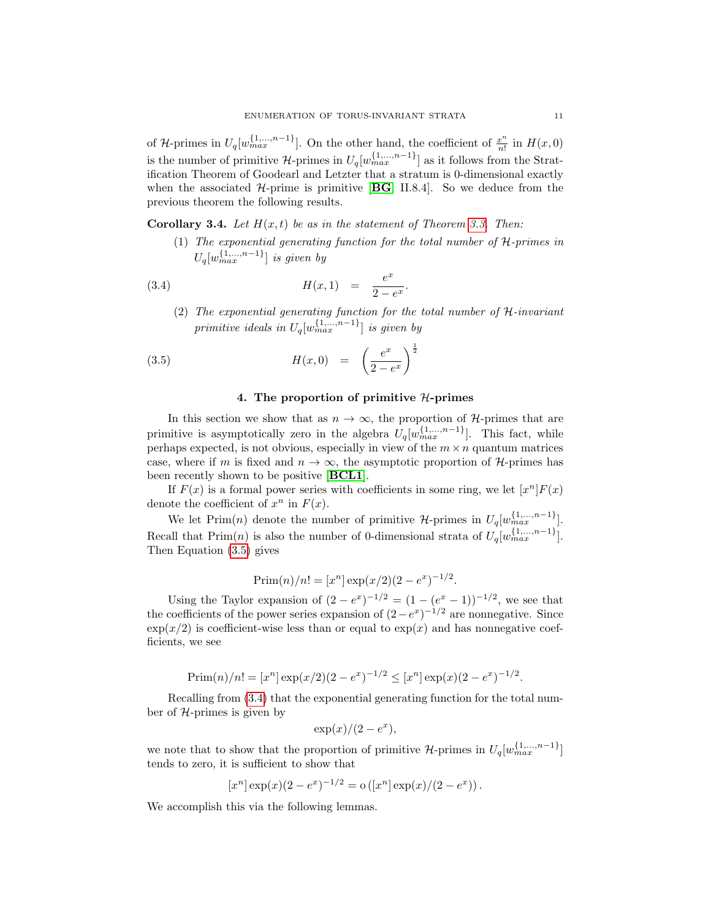<span id="page-11-0"></span>of H-primes in  $U_q[w_{max}^{(1,...,n-1)}]$ . On the other hand, the coefficient of  $\frac{x^n}{n!}$  $\frac{x^{\alpha}}{n!}$  in  $H(x,0)$ is the number of primitive  $\mathcal{H}$ -primes in  $U_q[w_{max}^{\{1,\ldots,n-1\}}]$  as it follows from the Stratification Theorem of Goodearl and Letzter that a stratum is 0-dimensional exactly when the associated  $H$ -prime is primitive [[BG](#page-12-3), II.8.4]. So we deduce from the previous theorem the following results.

**Corollary 3.4.** Let  $H(x, t)$  be as in the statement of Theorem [3.3.](#page-9-1) Then:

(1) The exponential generating function for the total number of H-primes in  $U_q[w_{max}^{\{1,\ldots,n-1\}}]$  is given by

(3.4) 
$$
H(x,1) = \frac{e^x}{2 - e^x}.
$$

(2) The exponential generating function for the total number of H-invariant primitive ideals in  $U_q[w_{max}^{\{1,\ldots,n-1\}}]$  is given by

(3.5) 
$$
H(x,0) = \left(\frac{e^x}{2 - e^x}\right)^{\frac{1}{2}}
$$

#### 4. The proportion of primitive  $H$ -primes

In this section we show that as  $n \to \infty$ , the proportion of H-primes that are primitive is asymptotically zero in the algebra  $U_q[w_{max}^{\{1,\ldots,n-1\}}]$ . This fact, while perhaps expected, is not obvious, especially in view of the  $m \times n$  quantum matrices case, where if m is fixed and  $n \to \infty$ , the asymptotic proportion of H-primes has been recently shown to be positive [[BCL1](#page-12-2)].

<span id="page-11-1"></span>If  $F(x)$  is a formal power series with coefficients in some ring, we let  $[x^n]F(x)$ denote the coefficient of  $x^n$  in  $F(x)$ .

We let  $\text{Prim}(n)$  denote the number of primitive  $\mathcal{H}$ -primes in  $U_q[w_{max}^{(1,...,n-1)}]$ . Recall that  $\text{Prim}(n)$  is also the number of 0-dimensional strata of  $U_q[w_{max}^{(1,...,n-1)}]$ . Then Equation [\(3.5\)](#page-10-0) gives

$$
Prim(n)/n! = [x^n] exp(x/2)(2 - e^x)^{-1/2}.
$$

Using the Taylor expansion of  $(2 - e^x)^{-1/2} = (1 - (e^x - 1))^{-1/2}$ , we see that the coefficients of the power series expansion of  $(2-e^x)^{-1/2}$  are nonnegative. Since  $\exp(x/2)$  is coefficient-wise less than or equal to  $\exp(x)$  and has nonnegative coefficients, we see

$$
\text{Prim}(n)/n! = [x^n] \exp(x/2)(2 - e^x)^{-1/2} \le [x^n] \exp(x)(2 - e^x)^{-1/2}.
$$

Recalling from [\(3.4\)](#page-10-1) that the exponential generating function for the total number of  $H$ -primes is given by

$$
\exp(x)/(2 - e^x),
$$

we note that to show that the proportion of primitive  $\mathcal{H}$ -primes in  $U_q[w_{max}^{\{1,\ldots,n-1\}}]$ tends to zero, it is sufficient to show that

$$
[xn] \exp(x) (2 - ex)-1/2 = o ([xn] \exp(x) / (2 - ex)).
$$

We accomplish this via the following lemmas.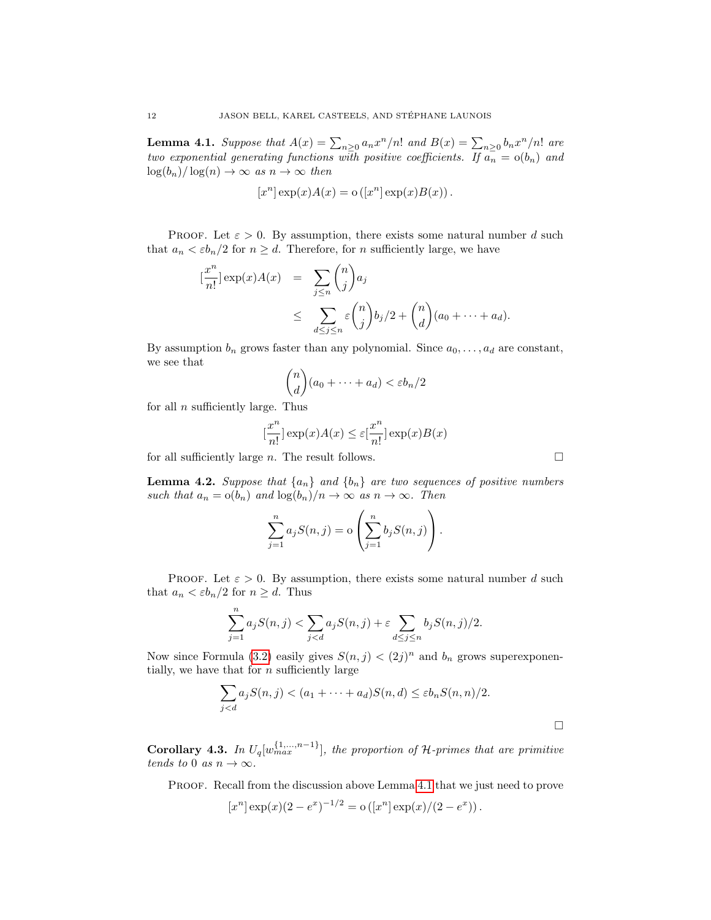**Lemma 4.1.** Suppose that  $A(x) = \sum_{n\geq 0} a_n x^n/n!$  and  $B(x) = \sum_{n\geq 0} b_n x^n/n!$  are two exponential generating functions with positive coefficients. If  $a_n = o(b_n)$  and  $\log(b_n)/\log(n) \to \infty$  as  $n \to \infty$  then

$$
[x^n] \exp(x) A(x) = o([x^n] \exp(x) B(x)).
$$

PROOF. Let  $\varepsilon > 0$ . By assumption, there exists some natural number d such that  $a_n < \varepsilon b_n/2$  for  $n \geq d$ . Therefore, for n sufficiently large, we have

$$
\frac{x^n}{n!} \Big| \exp(x) A(x) = \sum_{j \le n} {n \choose j} a_j
$$
  
 
$$
\le \sum_{d \le j \le n} \varepsilon {n \choose j} b_j/2 + {n \choose d} (a_0 + \dots + a_d).
$$

By assumption  $b_n$  grows faster than any polynomial. Since  $a_0, \ldots, a_d$  are constant, we see that

$$
\binom{n}{d}(a_0 + \dots + a_d) < \varepsilon b_n/2
$$

for all  $n$  sufficiently large. Thus

 $\lceil$ 

$$
[\frac{x^n}{n!}] \exp(x)A(x) \le \varepsilon[\frac{x^n}{n!}] \exp(x)B(x)
$$

for all sufficiently large n. The result follows.  $\Box$ 

**Lemma 4.2.** Suppose that  $\{a_n\}$  and  $\{b_n\}$  are two sequences of positive numbers such that  $a_n = o(b_n)$  and  $log(b_n)/n \to \infty$  as  $n \to \infty$ . Then

$$
\sum_{j=1}^{n} a_j S(n,j) = o\left(\sum_{j=1}^{n} b_j S(n,j)\right).
$$

<span id="page-12-2"></span><span id="page-12-1"></span>PROOF. Let  $\varepsilon > 0$ . By assumption, there exists some natural number d such that  $a_n < \varepsilon b_n/2$  for  $n \geq d$ . Thus

$$
\sum_{j=1}^{n} a_j S(n,j) < \sum_{j < d} a_j S(n,j) + \varepsilon \sum_{d \le j \le n} b_j S(n,j)/2.
$$

<span id="page-12-4"></span><span id="page-12-3"></span>Now since Formula [\(3.2\)](#page-8-1) easily gives  $S(n, j) < (2j)^n$  and  $b_n$  grows superexponentially, we have that for  $n$  sufficiently large

$$
\sum_{j < d} a_j S(n,j) < (a_1 + \dots + a_d) S(n,d) \le \varepsilon b_n S(n,n)/2.
$$

<span id="page-12-0"></span>**Corollary 4.3.** In  $U_q[w_{max}^{\{1,\ldots,n-1\}}]$ , the proportion of H-primes that are primitive tends to 0 as  $n \to \infty$ .

PROOF. Recall from the discussion above Lemma [4.1](#page-11-0) that we just need to prove

$$
[x^n] \exp(x) (2 - e^x)^{-1/2} = o([x^n] \exp(x) / (2 - e^x)).
$$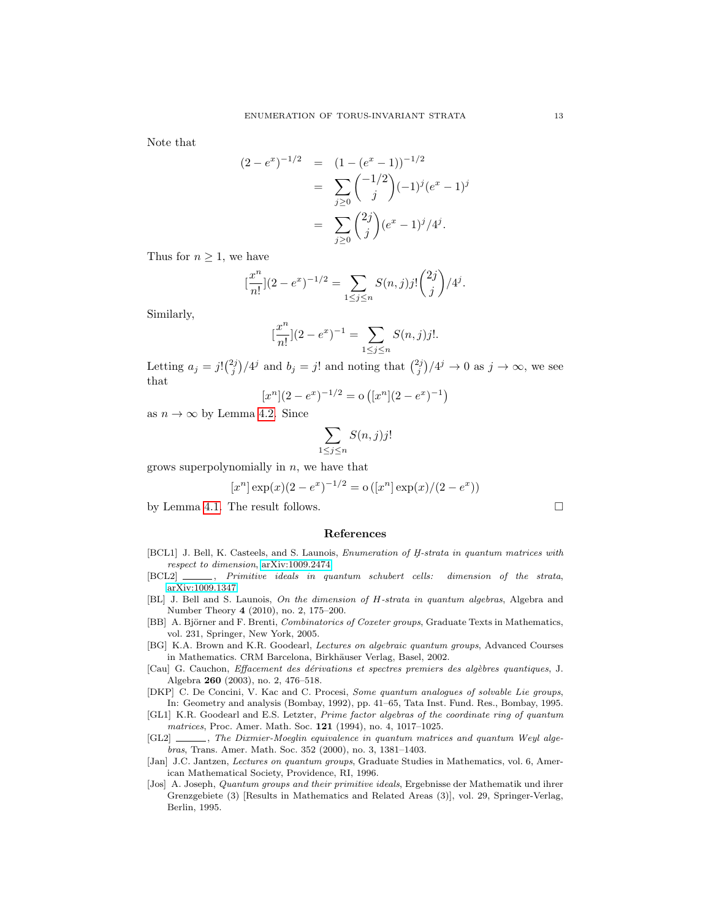<span id="page-13-4"></span>Note that

$$
(2 - e^x)^{-1/2} = (1 - (e^x - 1))^{-1/2}
$$
  
= 
$$
\sum_{j\geq 0} {\binom{-1/2}{j}} (-1)^j (e^x - 1)^j
$$
  
= 
$$
\sum_{j\geq 0} {\binom{2j}{j}} (e^x - 1)^j / 4^j.
$$

<span id="page-13-6"></span><span id="page-13-5"></span><span id="page-13-0"></span>Thus for  $n \geq 1$ , we have

$$
\left[\frac{x^n}{n!}\right](2 - e^x)^{-1/2} = \sum_{1 \le j \le n} S(n, j)j! \binom{2j}{j} / 4^j.
$$

<span id="page-13-3"></span><span id="page-13-1"></span>Similarly,

$$
\left[\frac{x^n}{n!}\right](2 - e^x)^{-1} = \sum_{1 \le j \le n} S(n, j)j!.
$$

<span id="page-13-2"></span>Letting  $a_j = j! {2j \choose j} / 4^j$  and  $b_j = j!$  and noting that  ${2j \choose j} / 4^j \rightarrow 0$  as  $j \rightarrow \infty$ , we see that

$$
[x^n](2 - e^x)^{-1/2} = o([x^n](2 - e^x)^{-1})
$$

as  $n \to \infty$  by Lemma [4.2.](#page-11-1) Since

$$
\sum_{1 \le j \le n} S(n,j)j!
$$

grows superpolynomially in  $n$ , we have that

$$
[x^n] \exp(x) (2 - e^x)^{-1/2} = o([x^n] \exp(x) / (2 - e^x))
$$

by Lemma [4.1.](#page-11-0) The result follows.

#### References

- [BCL1] J. Bell, K. Casteels, and S. Launois, *Enumeration of H-strata in quantum matrices with* respect to dimension, [arXiv:1009.2474.](http://arxiv.org/abs/1009.2474)
- [BCL2]  $\_\_\_\_\$ , Primitive ideals in quantum schubert cells: dimension of the strata, [arXiv:1009.1347.](http://arxiv.org/abs/1009.1347)
- [BL] J. Bell and S. Launois, On the dimension of H-strata in quantum algebras, Algebra and Number Theory 4 (2010), no. 2, 175–200.
- [BB] A. Björner and F. Brenti, *Combinatorics of Coxeter groups*, Graduate Texts in Mathematics, vol. 231, Springer, New York, 2005.
- [BG] K.A. Brown and K.R. Goodearl, Lectures on algebraic quantum groups, Advanced Courses in Mathematics. CRM Barcelona, Birkhäuser Verlag, Basel, 2002.
- [Cau] G. Cauchon, Effacement des d´erivations et spectres premiers des alg`ebres quantiques, J. Algebra 260 (2003), no. 2, 476–518.
- [DKP] C. De Concini, V. Kac and C. Procesi, Some quantum analogues of solvable Lie groups, In: Geometry and analysis (Bombay, 1992), pp. 41–65, Tata Inst. Fund. Res., Bombay, 1995.
- [GL1] K.R. Goodearl and E.S. Letzter, Prime factor algebras of the coordinate ring of quantum matrices, Proc. Amer. Math. Soc. 121 (1994), no. 4, 1017–1025.
- [GL2]  $\ldots$ , The Dixmier-Moeglin equivalence in quantum matrices and quantum Weyl algebras, Trans. Amer. Math. Soc. 352 (2000), no. 3, 1381–1403.
- [Jan] J.C. Jantzen, Lectures on quantum groups, Graduate Studies in Mathematics, vol. 6, American Mathematical Society, Providence, RI, 1996.
- [Jos] A. Joseph, Quantum groups and their primitive ideals, Ergebnisse der Mathematik und ihrer Grenzgebiete (3) [Results in Mathematics and Related Areas (3)], vol. 29, Springer-Verlag, Berlin, 1995.